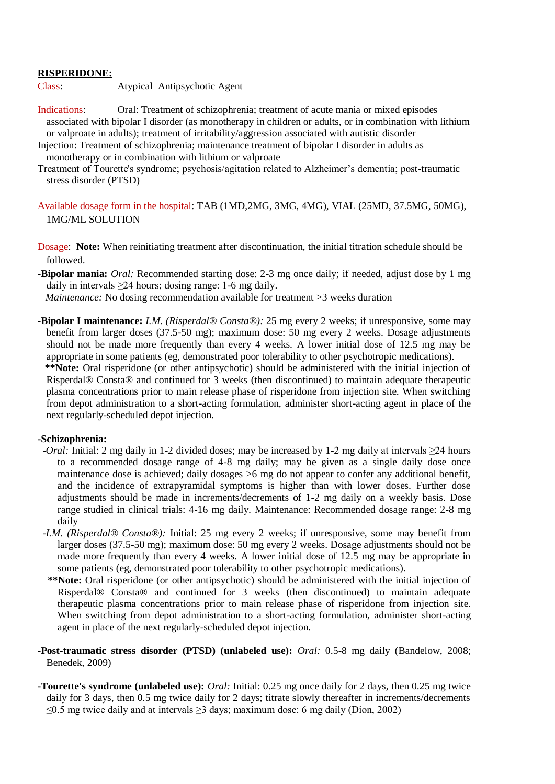# **RISPERIDONE:**

Class: Atypical Antipsychotic Agent

- Indications: Oral: Treatment of schizophrenia; treatment of acute mania or mixed episodes associated with bipolar I disorder (as monotherapy in children or adults, or in combination with lithium or valproate in adults); treatment of irritability/aggression associated with autistic disorder
- Injection: Treatment of schizophrenia; maintenance treatment of bipolar I disorder in adults as monotherapy or in combination with lithium or valproate
- Treatment of Tourette's syndrome; psychosis/agitation related to Alzheimer's dementia; post-traumatic stress disorder (PTSD)

Available dosage form in the hospital: TAB (1MD,2MG, 3MG, 4MG), VIAL (25MD, 37.5MG, 50MG), 1MG/ML SOLUTION

Dosage: **Note:** When reinitiating treatment after discontinuation, the initial titration schedule should be followed.

**-Bipolar mania:** *Oral:* Recommended starting dose: 2-3 mg once daily; if needed, adjust dose by 1 mg daily in intervals  $\geq$ 24 hours; dosing range: 1-6 mg daily.

*Maintenance:* No dosing recommendation available for treatment >3 weeks duration

**-Bipolar I maintenance:** *I.M. (Risperdal® Consta®):* 25 mg every 2 weeks; if unresponsive, some may benefit from larger doses (37.5-50 mg); maximum dose: 50 mg every 2 weeks. Dosage adjustments should not be made more frequently than every 4 weeks. A lower initial dose of 12.5 mg may be appropriate in some patients (eg, demonstrated poor tolerability to other psychotropic medications).

 **\*\*Note:** Oral risperidone (or other antipsychotic) should be administered with the initial injection of Risperdal® Consta® and continued for 3 weeks (then discontinued) to maintain adequate therapeutic plasma concentrations prior to main release phase of risperidone from injection site. When switching from depot administration to a short-acting formulation, administer short-acting agent in place of the next regularly-scheduled depot injection.

#### **-Schizophrenia:**

- *-Oral:* Initial: 2 mg daily in 1-2 divided doses; may be increased by 1-2 mg daily at intervals ≥24 hours to a recommended dosage range of 4-8 mg daily; may be given as a single daily dose once maintenance dose is achieved; daily dosages >6 mg do not appear to confer any additional benefit, and the incidence of extrapyramidal symptoms is higher than with lower doses. Further dose adjustments should be made in increments/decrements of 1-2 mg daily on a weekly basis. Dose range studied in clinical trials: 4-16 mg daily. Maintenance: Recommended dosage range: 2-8 mg daily
- *-I.M. (Risperdal® Consta®):* Initial: 25 mg every 2 weeks; if unresponsive, some may benefit from larger doses (37.5-50 mg); maximum dose: 50 mg every 2 weeks. Dosage adjustments should not be made more frequently than every 4 weeks. A lower initial dose of 12.5 mg may be appropriate in some patients (eg, demonstrated poor tolerability to other psychotropic medications).
- **\*\*Note:** Oral risperidone (or other antipsychotic) should be administered with the initial injection of Risperdal® Consta® and continued for 3 weeks (then discontinued) to maintain adequate therapeutic plasma concentrations prior to main release phase of risperidone from injection site. When switching from depot administration to a short-acting formulation, administer short-acting agent in place of the next regularly-scheduled depot injection.

## **-Post-traumatic stress disorder (PTSD) (unlabeled use):** *Oral:* 0.5-8 mg daily (Bandelow, 2008; Benedek, 2009)

**-Tourette's syndrome (unlabeled use):** *Oral:* Initial: 0.25 mg once daily for 2 days, then 0.25 mg twice daily for 3 days, then 0.5 mg twice daily for 2 days; titrate slowly thereafter in increments/decrements ≤0.5 mg twice daily and at intervals ≥3 days; maximum dose: 6 mg daily (Dion, 2002)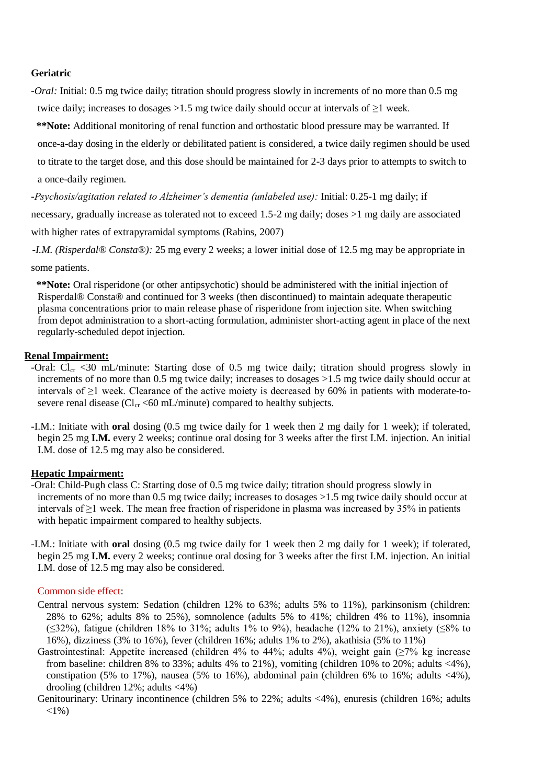## **Geriatric**

- -*Oral:* Initial: 0.5 mg twice daily; titration should progress slowly in increments of no more than 0.5 mg twice daily; increases to dosages >1.5 mg twice daily should occur at intervals of ≥1 week.
- **\*\*Note:** Additional monitoring of renal function and orthostatic blood pressure may be warranted. If
- once-a-day dosing in the elderly or debilitated patient is considered, a twice daily regimen should be used to titrate to the target dose, and this dose should be maintained for 2-3 days prior to attempts to switch to a once-daily regimen.
- -*Psychosis/agitation related to Alzheimer's dementia (unlabeled use):* Initial: 0.25-1 mg daily; if
- necessary, gradually increase as tolerated not to exceed 1.5-2 mg daily; doses >1 mg daily are associated
- with higher rates of extrapyramidal symptoms (Rabins, 2007)
- *-I.M. (Risperdal® Consta®):* 25 mg every 2 weeks; a lower initial dose of 12.5 mg may be appropriate in some patients.
- **\*\*Note:** Oral risperidone (or other antipsychotic) should be administered with the initial injection of Risperdal® Consta® and continued for 3 weeks (then discontinued) to maintain adequate therapeutic plasma concentrations prior to main release phase of risperidone from injection site. When switching from depot administration to a short-acting formulation, administer short-acting agent in place of the next regularly-scheduled depot injection.

#### **Renal Impairment:**

- -Oral:  $Cl_{cr}$  <30 mL/minute: Starting dose of 0.5 mg twice daily; titration should progress slowly in increments of no more than 0.5 mg twice daily; increases to dosages  $>1.5$  mg twice daily should occur at intervals of ≥1 week. Clearance of the active moiety is decreased by 60% in patients with moderate-tosevere renal disease ( $Cl_{cr}$  <60 mL/minute) compared to healthy subjects.
- -I.M.: Initiate with **oral** dosing (0.5 mg twice daily for 1 week then 2 mg daily for 1 week); if tolerated, begin 25 mg **I.M.** every 2 weeks; continue oral dosing for 3 weeks after the first I.M. injection. An initial I.M. dose of 12.5 mg may also be considered.

# **Hepatic Impairment:**

- -Oral: Child-Pugh class C: Starting dose of 0.5 mg twice daily; titration should progress slowly in increments of no more than 0.5 mg twice daily; increases to dosages  $>1.5$  mg twice daily should occur at intervals of  $\geq$ 1 week. The mean free fraction of risperidone in plasma was increased by 35% in patients with hepatic impairment compared to healthy subjects.
- -I.M.: Initiate with **oral** dosing (0.5 mg twice daily for 1 week then 2 mg daily for 1 week); if tolerated, begin 25 mg **I.M.** every 2 weeks; continue oral dosing for 3 weeks after the first I.M. injection. An initial I.M. dose of 12.5 mg may also be considered.

## Common side effect:

- Central nervous system: Sedation (children 12% to 63%; adults 5% to 11%), parkinsonism (children: 28% to 62%; adults 8% to 25%), somnolence (adults 5% to 41%; children 4% to 11%), insomnia ( $\leq$ 32%), fatigue (children 18% to 31%; adults 1% to 9%), headache (12% to 21%), anxiety ( $\leq$ 8% to 16%), dizziness (3% to 16%), fever (children 16%; adults 1% to 2%), akathisia (5% to 11%)
- Gastrointestinal: Appetite increased (children 4% to 44%; adults 4%), weight gain  $(\geq 7\%$  kg increase from baseline: children 8% to 33%; adults 4% to 21%), vomiting (children 10% to 20%; adults  $\langle 4\% \rangle$ , constipation (5% to 17%), nausea (5% to 16%), abdominal pain (children 6% to 16%; adults <4%), drooling (children 12%; adults <4%)
- Genitourinary: Urinary incontinence (children 5% to 22%; adults <4%), enuresis (children 16%; adults  $<1\%$ )